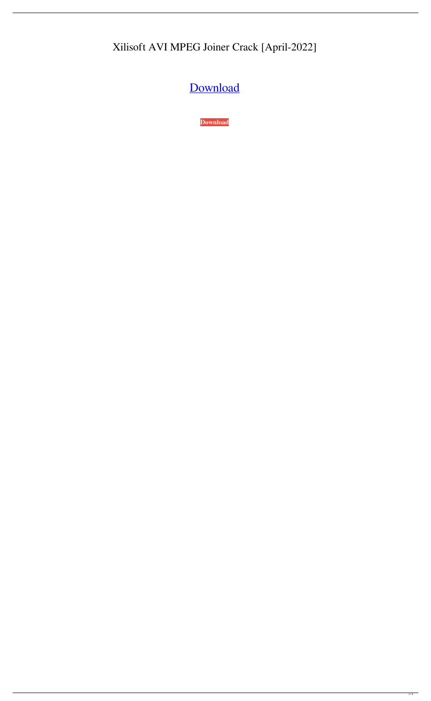## Xilisoft AVI MPEG Joiner Crack [April-2022]

[Download](http://evacdir.com/columbo.ZG93bmxvYWR8UWU2TVdkeE5IeDhNVFkxTkRVeU1qRXhNSHg4TWpVNU1IeDhLRTBwSUZkdmNtUndjbVZ6Y3lCYldFMU1VbEJESUZZeUlGQkVSbDA?knysna=fewest.upstaging/optically.WGlsaXNvZnQgQVZJIE1QRUcgSm9pbmVyWGl)

**[Download](http://evacdir.com/columbo.ZG93bmxvYWR8UWU2TVdkeE5IeDhNVFkxTkRVeU1qRXhNSHg4TWpVNU1IeDhLRTBwSUZkdmNtUndjbVZ6Y3lCYldFMU1VbEJESUZZeUlGQkVSbDA?knysna=fewest.upstaging/optically.WGlsaXNvZnQgQVZJIE1QRUcgSm9pbmVyWGl)**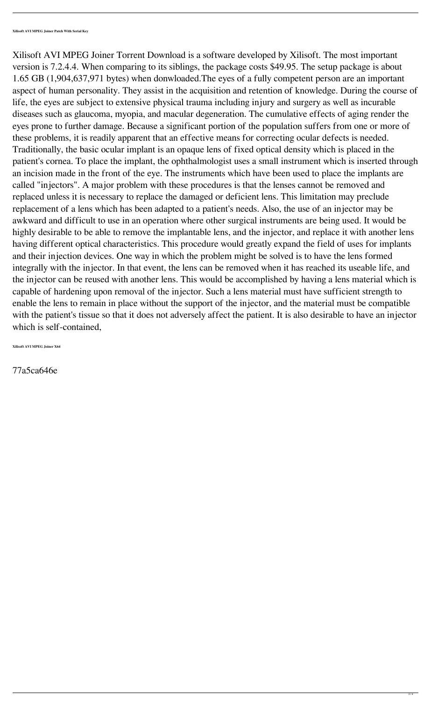Xilisoft AVI MPEG Joiner Torrent Download is a software developed by Xilisoft. The most important version is 7.2.4.4. When comparing to its siblings, the package costs \$49.95. The setup package is about 1.65 GB (1,904,637,971 bytes) when donwloaded.The eyes of a fully competent person are an important aspect of human personality. They assist in the acquisition and retention of knowledge. During the course of life, the eyes are subject to extensive physical trauma including injury and surgery as well as incurable diseases such as glaucoma, myopia, and macular degeneration. The cumulative effects of aging render the eyes prone to further damage. Because a significant portion of the population suffers from one or more of these problems, it is readily apparent that an effective means for correcting ocular defects is needed. Traditionally, the basic ocular implant is an opaque lens of fixed optical density which is placed in the patient's cornea. To place the implant, the ophthalmologist uses a small instrument which is inserted through an incision made in the front of the eye. The instruments which have been used to place the implants are called "injectors". A major problem with these procedures is that the lenses cannot be removed and replaced unless it is necessary to replace the damaged or deficient lens. This limitation may preclude replacement of a lens which has been adapted to a patient's needs. Also, the use of an injector may be awkward and difficult to use in an operation where other surgical instruments are being used. It would be highly desirable to be able to remove the implantable lens, and the injector, and replace it with another lens having different optical characteristics. This procedure would greatly expand the field of uses for implants and their injection devices. One way in which the problem might be solved is to have the lens formed integrally with the injector. In that event, the lens can be removed when it has reached its useable life, and the injector can be reused with another lens. This would be accomplished by having a lens material which is capable of hardening upon removal of the injector. Such a lens material must have sufficient strength to enable the lens to remain in place without the support of the injector, and the material must be compatible with the patient's tissue so that it does not adversely affect the patient. It is also desirable to have an injector which is self-contained,

**Xilisoft AVI MPEG Joiner X64**

77a5ca646e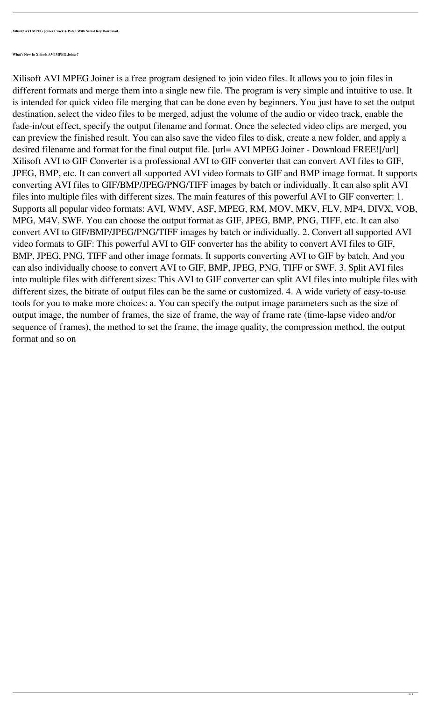**Xilisoft AVI MPEG Joiner Crack + Patch With Serial Key Download**

**What's New In Xilisoft AVI MPEG Joiner?**

Xilisoft AVI MPEG Joiner is a free program designed to join video files. It allows you to join files in different formats and merge them into a single new file. The program is very simple and intuitive to use. It is intended for quick video file merging that can be done even by beginners. You just have to set the output destination, select the video files to be merged, adjust the volume of the audio or video track, enable the fade-in/out effect, specify the output filename and format. Once the selected video clips are merged, you can preview the finished result. You can also save the video files to disk, create a new folder, and apply a desired filename and format for the final output file. [url= AVI MPEG Joiner - Download FREE![/url] Xilisoft AVI to GIF Converter is a professional AVI to GIF converter that can convert AVI files to GIF, JPEG, BMP, etc. It can convert all supported AVI video formats to GIF and BMP image format. It supports converting AVI files to GIF/BMP/JPEG/PNG/TIFF images by batch or individually. It can also split AVI files into multiple files with different sizes. The main features of this powerful AVI to GIF converter: 1. Supports all popular video formats: AVI, WMV, ASF, MPEG, RM, MOV, MKV, FLV, MP4, DIVX, VOB, MPG, M4V, SWF. You can choose the output format as GIF, JPEG, BMP, PNG, TIFF, etc. It can also convert AVI to GIF/BMP/JPEG/PNG/TIFF images by batch or individually. 2. Convert all supported AVI video formats to GIF: This powerful AVI to GIF converter has the ability to convert AVI files to GIF, BMP, JPEG, PNG, TIFF and other image formats. It supports converting AVI to GIF by batch. And you can also individually choose to convert AVI to GIF, BMP, JPEG, PNG, TIFF or SWF. 3. Split AVI files into multiple files with different sizes: This AVI to GIF converter can split AVI files into multiple files with different sizes, the bitrate of output files can be the same or customized. 4. A wide variety of easy-to-use tools for you to make more choices: a. You can specify the output image parameters such as the size of output image, the number of frames, the size of frame, the way of frame rate (time-lapse video and/or sequence of frames), the method to set the frame, the image quality, the compression method, the output format and so on